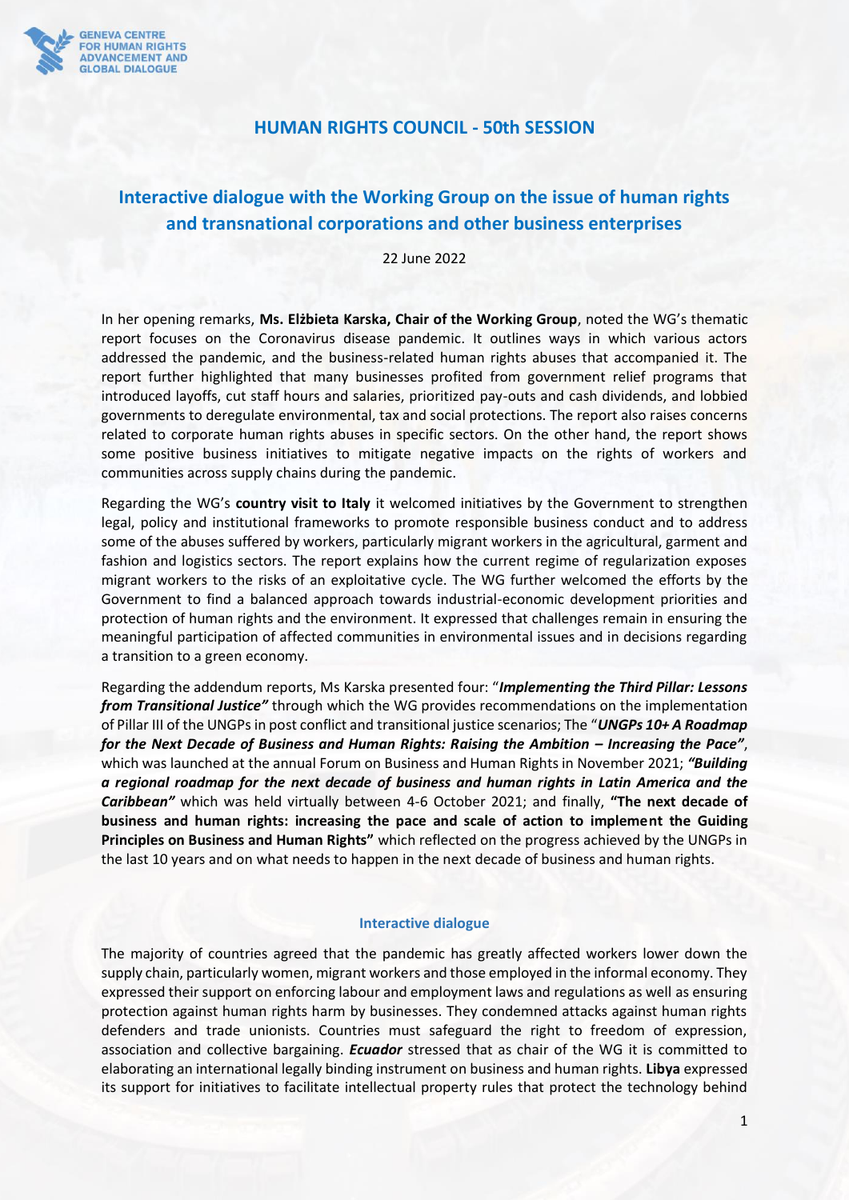

## **HUMAN RIGHTS COUNCIL - 50th SESSION**

# **Interactive dialogue with the Working Group on the issue of human rights and transnational corporations and other business enterprises**

22 June 2022

In her opening remarks, **Ms. Elżbieta Karska, Chair of the Working Group**, noted the WG's thematic report focuses on the Coronavirus disease pandemic. It outlines ways in which various actors addressed the pandemic, and the business-related human rights abuses that accompanied it. The report further highlighted that many businesses profited from government relief programs that introduced layoffs, cut staff hours and salaries, prioritized pay-outs and cash dividends, and lobbied governments to deregulate environmental, tax and social protections. The report also raises concerns related to corporate human rights abuses in specific sectors. On the other hand, the report shows some positive business initiatives to mitigate negative impacts on the rights of workers and communities across supply chains during the pandemic.

Regarding the WG's **country visit to Italy** it welcomed initiatives by the Government to strengthen legal, policy and institutional frameworks to promote responsible business conduct and to address some of the abuses suffered by workers, particularly migrant workers in the agricultural, garment and fashion and logistics sectors. The report explains how the current regime of regularization exposes migrant workers to the risks of an exploitative cycle. The WG further welcomed the efforts by the Government to find a balanced approach towards industrial-economic development priorities and protection of human rights and the environment. It expressed that challenges remain in ensuring the meaningful participation of affected communities in environmental issues and in decisions regarding a transition to a green economy.

Regarding the addendum reports, Ms Karska presented four: "*Implementing the Third Pillar: Lessons from Transitional Justice"* through which the WG provides recommendations on the implementation of Pillar III of the UNGPs in post conflict and transitional justice scenarios; The "*UNGPs 10+ A Roadmap for the Next Decade of Business and Human Rights: Raising the Ambition – Increasing the Pace"*, which was launched at the annual Forum on Business and Human Rights in November 2021; *"Building a regional roadmap for the next decade of business and human rights in Latin America and the Caribbean"* which was held virtually between 4-6 October 2021; and finally, **"The next decade of business and human rights: increasing the pace and scale of action to implement the Guiding Principles on Business and Human Rights"** which reflected on the progress achieved by the UNGPs in the last 10 years and on what needs to happen in the next decade of business and human rights.

#### **Interactive dialogue**

The majority of countries agreed that the pandemic has greatly affected workers lower down the supply chain, particularly women, migrant workers and those employed in the informal economy. They expressed their support on enforcing labour and employment laws and regulations as well as ensuring protection against human rights harm by businesses. They condemned attacks against human rights defenders and trade unionists. Countries must safeguard the right to freedom of expression, association and collective bargaining. *Ecuador* stressed that as chair of the WG it is committed to elaborating an international legally binding instrument on business and human rights. **Libya** expressed its support for initiatives to facilitate intellectual property rules that protect the technology behind